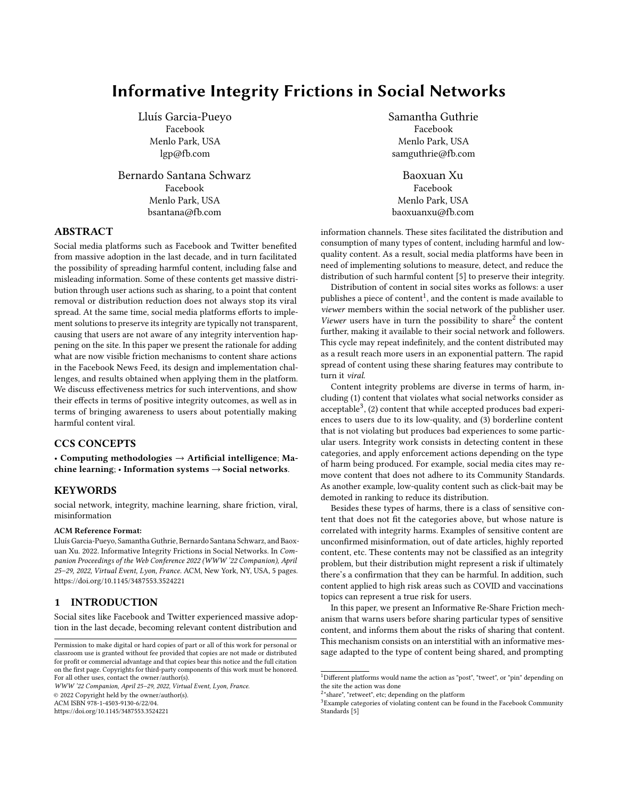# Informative Integrity Frictions in Social Networks

Lluís Garcia-Pueyo Facebook Menlo Park, USA lgp@fb.com

Bernardo Santana Schwarz Facebook Menlo Park, USA bsantana@fb.com

# ABSTRACT

Social media platforms such as Facebook and Twitter benefited from massive adoption in the last decade, and in turn facilitated the possibility of spreading harmful content, including false and misleading information. Some of these contents get massive distribution through user actions such as sharing, to a point that content removal or distribution reduction does not always stop its viral spread. At the same time, social media platforms efforts to implement solutions to preserve its integrity are typically not transparent, causing that users are not aware of any integrity intervention happening on the site. In this paper we present the rationale for adding what are now visible friction mechanisms to content share actions in the Facebook News Feed, its design and implementation challenges, and results obtained when applying them in the platform. We discuss effectiveness metrics for such interventions, and show their effects in terms of positive integrity outcomes, as well as in terms of bringing awareness to users about potentially making harmful content viral.

# CCS CONCEPTS

• Computing methodologies  $\rightarrow$  Artificial intelligence; Machine learning; • Information systems  $\rightarrow$  Social networks.

### KEYWORDS

social network, integrity, machine learning, share friction, viral, misinformation

#### ACM Reference Format:

Lluís Garcia-Pueyo, Samantha Guthrie, Bernardo Santana Schwarz, and Baoxuan Xu. 2022. Informative Integrity Frictions in Social Networks. In Companion Proceedings of the Web Conference 2022 (WWW '22 Companion), April 25–29, 2022, Virtual Event, Lyon, France. ACM, New York, NY, USA, [5](#page-4-0) pages. <https://doi.org/10.1145/3487553.3524221>

### 1 INTRODUCTION

Social sites like Facebook and Twitter experienced massive adoption in the last decade, becoming relevant content distribution and

WWW '22 Companion, April 25–29, 2022, Virtual Event, Lyon, France. © 2022 Copyright held by the owner/author(s). ACM ISBN 978-1-4503-9130-6/22/04.

<https://doi.org/10.1145/3487553.3524221>

Samantha Guthrie Facebook Menlo Park, USA samguthrie@fb.com

Baoxuan Xu Facebook Menlo Park, USA baoxuanxu@fb.com

information channels. These sites facilitated the distribution and consumption of many types of content, including harmful and lowquality content. As a result, social media platforms have been in need of implementing solutions to measure, detect, and reduce the distribution of such harmful content [\[5\]](#page-4-1) to preserve their integrity.

Distribution of content in social sites works as follows: a user publishes a piece of content<sup>[1](#page-0-0)</sup>, and the content is made available to viewer members within the social network of the publisher user. Viewer users have in turn the possibility to share<sup>[2](#page-0-1)</sup> the content further, making it available to their social network and followers. This cycle may repeat indefinitely, and the content distributed may as a result reach more users in an exponential pattern. The rapid spread of content using these sharing features may contribute to turn it viral.

Content integrity problems are diverse in terms of harm, including (1) content that violates what social networks consider as acceptable $^3$  $^3$ , (2) content that while accepted produces bad experiences to users due to its low-quality, and (3) borderline content that is not violating but produces bad experiences to some particular users. Integrity work consists in detecting content in these categories, and apply enforcement actions depending on the type of harm being produced. For example, social media cites may remove content that does not adhere to its Community Standards. As another example, low-quality content such as click-bait may be demoted in ranking to reduce its distribution.

Besides these types of harms, there is a class of sensitive content that does not fit the categories above, but whose nature is correlated with integrity harms. Examples of sensitive content are unconfirmed misinformation, out of date articles, highly reported content, etc. These contents may not be classified as an integrity problem, but their distribution might represent a risk if ultimately there's a confirmation that they can be harmful. In addition, such content applied to high risk areas such as COVID and vaccinations topics can represent a true risk for users.

In this paper, we present an Informative Re-Share Friction mechanism that warns users before sharing particular types of sensitive content, and informs them about the risks of sharing that content. This mechanism consists on an interstitial with an informative message adapted to the type of content being shared, and prompting

Permission to make digital or hard copies of part or all of this work for personal or classroom use is granted without fee provided that copies are not made or distributed for profit or commercial advantage and that copies bear this notice and the full citation on the first page. Copyrights for third-party components of this work must be honored. For all other uses, contact the owner/author(s).

<span id="page-0-0"></span> $^1$  Different platforms would name the action as "post", "tweet", or "pin" depending on the site the action was done

<span id="page-0-1"></span><sup>&</sup>lt;sup>2</sup>"share", "retweet", etc; depending on the platform

<span id="page-0-2"></span><sup>&</sup>lt;sup>3</sup>Example categories of violating content can be found in the Facebook Community Standards [\[5\]](#page-4-1)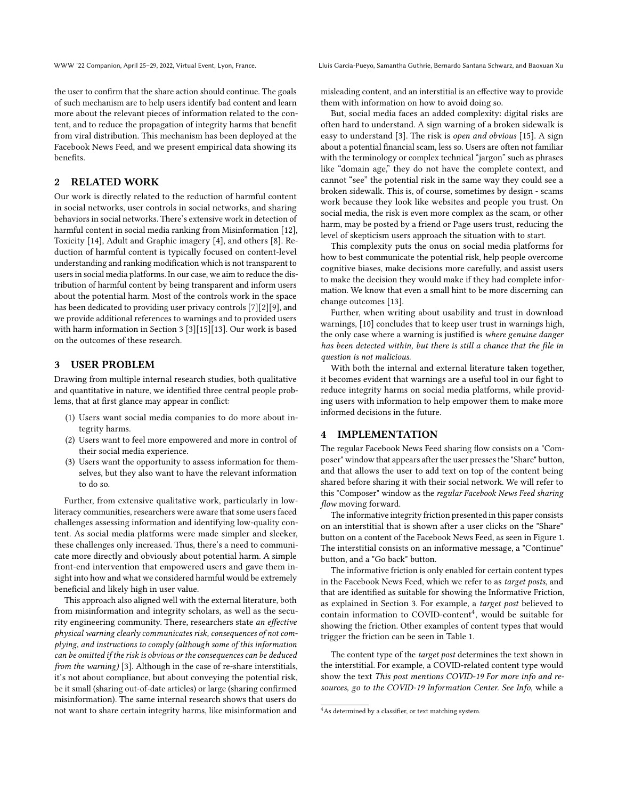the user to confirm that the share action should continue. The goals of such mechanism are to help users identify bad content and learn more about the relevant pieces of information related to the content, and to reduce the propagation of integrity harms that benefit from viral distribution. This mechanism has been deployed at the Facebook News Feed, and we present empirical data showing its benefits.

# 2 RELATED WORK

Our work is directly related to the reduction of harmful content in social networks, user controls in social networks, and sharing behaviors in social networks. There's extensive work in detection of harmful content in social media ranking from Misinformation [\[12\]](#page-4-2), Toxicity [\[14\]](#page-4-3), Adult and Graphic imagery [\[4\]](#page-4-4), and others [\[8\]](#page-4-5). Reduction of harmful content is typically focused on content-level understanding and ranking modification which is not transparent to users in social media platforms. In our case, we aim to reduce the distribution of harmful content by being transparent and inform users about the potential harm. Most of the controls work in the space has been dedicated to providing user privacy controls [\[7\]](#page-4-6)[\[2\]](#page-4-7)[\[9\]](#page-4-8), and we provide additional references to warnings and to provided users with harm information in Section [3](#page-1-0) [\[3\]](#page-4-9)[\[15\]](#page-4-10)[\[13\]](#page-4-11). Our work is based on the outcomes of these research.

### <span id="page-1-0"></span>3 USER PROBLEM

Drawing from multiple internal research studies, both qualitative and quantitative in nature, we identified three central people problems, that at first glance may appear in conflict:

- (1) Users want social media companies to do more about integrity harms.
- (2) Users want to feel more empowered and more in control of their social media experience.
- (3) Users want the opportunity to assess information for themselves, but they also want to have the relevant information to do so.

Further, from extensive qualitative work, particularly in lowliteracy communities, researchers were aware that some users faced challenges assessing information and identifying low-quality content. As social media platforms were made simpler and sleeker, these challenges only increased. Thus, there's a need to communicate more directly and obviously about potential harm. A simple front-end intervention that empowered users and gave them insight into how and what we considered harmful would be extremely beneficial and likely high in user value.

This approach also aligned well with the external literature, both from misinformation and integrity scholars, as well as the security engineering community. There, researchers state an effective physical warning clearly communicates risk, consequences of not complying, and instructions to comply (although some of this information can be omitted if the risk is obvious or the consequences can be deduced from the warning) [\[3\]](#page-4-9). Although in the case of re-share interstitials, it's not about compliance, but about conveying the potential risk, be it small (sharing out-of-date articles) or large (sharing confirmed misinformation). The same internal research shows that users do not want to share certain integrity harms, like misinformation and

misleading content, and an interstitial is an effective way to provide them with information on how to avoid doing so.

But, social media faces an added complexity: digital risks are often hard to understand. A sign warning of a broken sidewalk is easy to understand [\[3\]](#page-4-9). The risk is open and obvious [\[15\]](#page-4-10). A sign about a potential financial scam, less so. Users are often not familiar with the terminology or complex technical "jargon" such as phrases like "domain age," they do not have the complete context, and cannot "see" the potential risk in the same way they could see a broken sidewalk. This is, of course, sometimes by design - scams work because they look like websites and people you trust. On social media, the risk is even more complex as the scam, or other harm, may be posted by a friend or Page users trust, reducing the level of skepticism users approach the situation with to start.

This complexity puts the onus on social media platforms for how to best communicate the potential risk, help people overcome cognitive biases, make decisions more carefully, and assist users to make the decision they would make if they had complete information. We know that even a small hint to be more discerning can change outcomes [\[13\]](#page-4-11).

Further, when writing about usability and trust in download warnings, [\[10\]](#page-4-12) concludes that to keep user trust in warnings high, the only case where a warning is justified is where genuine danger has been detected within, but there is still a chance that the file in question is not malicious.

With both the internal and external literature taken together, it becomes evident that warnings are a useful tool in our fight to reduce integrity harms on social media platforms, while providing users with information to help empower them to make more informed decisions in the future.

# <span id="page-1-2"></span>4 IMPLEMENTATION

The regular Facebook News Feed sharing flow consists on a "Composer" window that appears after the user presses the "Share" button, and that allows the user to add text on top of the content being shared before sharing it with their social network. We will refer to this "Composer" window as the regular Facebook News Feed sharing flow moving forward.

The informative integrity friction presented in this paper consists on an interstitial that is shown after a user clicks on the "Share" button on a content of the Facebook News Feed, as seen in Figure [1.](#page-2-0) The interstitial consists on an informative message, a "Continue" button, and a "Go back" button.

The informative friction is only enabled for certain content types in the Facebook News Feed, which we refer to as target posts, and that are identified as suitable for showing the Informative Friction, as explained in Section [3.](#page-1-0) For example, a target post believed to contain information to COVID-content<sup>[4](#page-1-1)</sup>, would be suitable for showing the friction. Other examples of content types that would trigger the friction can be seen in Table [1.](#page-2-1)

The content type of the target post determines the text shown in the interstitial. For example, a COVID-related content type would show the text This post mentions COVID-19 For more info and resources, go to the COVID-19 Information Center. See Info, while a

<span id="page-1-1"></span><sup>&</sup>lt;sup>4</sup>As determined by a classifier, or text matching system.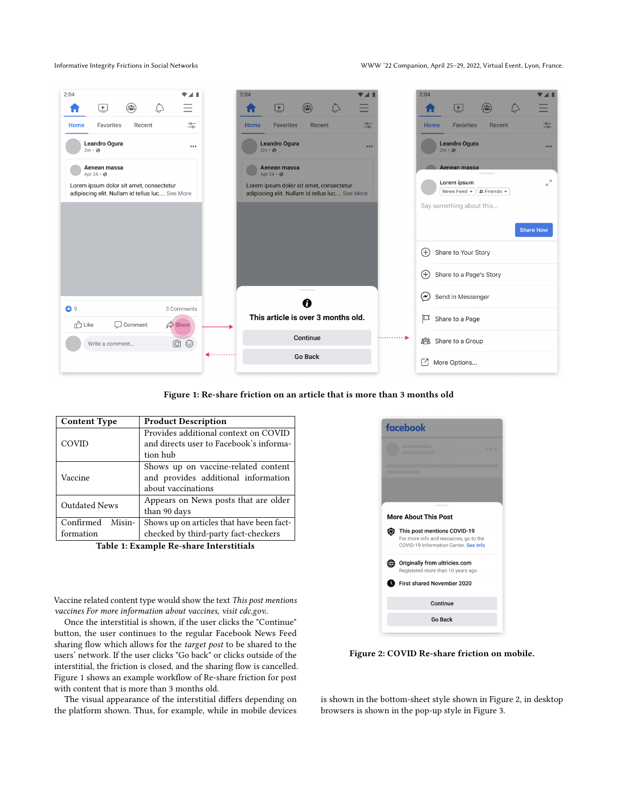Informative Integrity Frictions in Social Networks WWW '22 Companion, April 25–29, 2022, Virtual Event, Lyon, France.

<span id="page-2-0"></span>

Figure 1: Re-share friction on an article that is more than 3 months old

<span id="page-2-1"></span>

| <b>Content Type</b>  | <b>Product Description</b>                |
|----------------------|-------------------------------------------|
|                      | Provides additional context on COVID      |
| COVID                | and directs user to Facebook's informa-   |
|                      | tion hub                                  |
|                      | Shows up on vaccine-related content       |
| Vaccine              | and provides additional information       |
|                      | about vaccinations                        |
| <b>Outdated News</b> | Appears on News posts that are older      |
|                      | than 90 days                              |
| Confirmed<br>Misin-  | Shows up on articles that have been fact- |
| formation            | checked by third-party fact-checkers      |

Table 1: Example Re-share Interstitials

Vaccine related content type would show the text This post mentions vaccines For more information about vaccines, visit cdc.gov..

Once the interstitial is shown, if the user clicks the "Continue" button, the user continues to the regular Facebook News Feed sharing flow which allows for the target post to be shared to the users' network. If the user clicks "Go back" or clicks outside of the interstitial, the friction is closed, and the sharing flow is cancelled. Figure [1](#page-2-0) shows an example workflow of Re-share friction for post with content that is more than 3 months old.

The visual appearance of the interstitial differs depending on the platform shown. Thus, for example, while in mobile devices

<span id="page-2-2"></span>

Figure 2: COVID Re-share friction on mobile.

is shown in the bottom-sheet style shown in Figure [2,](#page-2-2) in desktop browsers is shown in the pop-up style in Figure [3.](#page-3-0)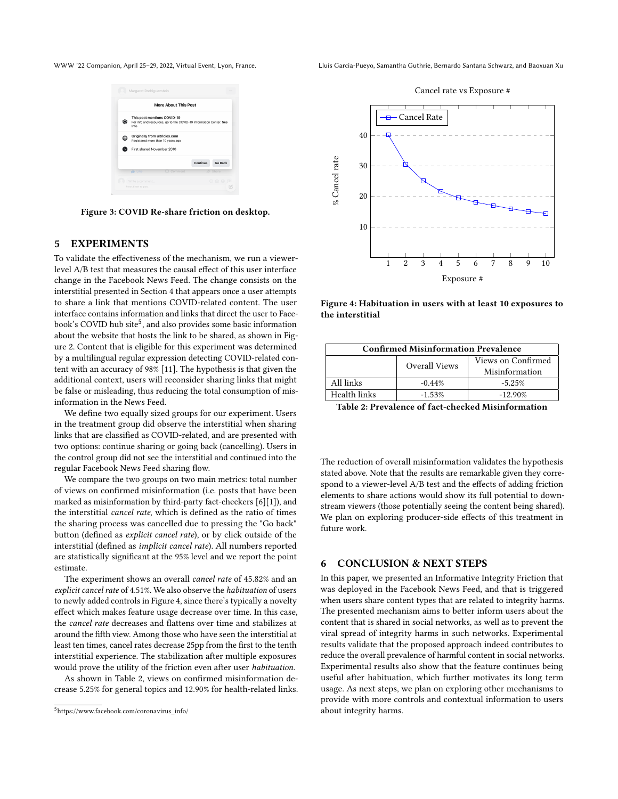<span id="page-3-0"></span>



Figure 3: COVID Re-share friction on desktop.

# 5 EXPERIMENTS

To validate the effectiveness of the mechanism, we run a viewerlevel A/B test that measures the causal effect of this user interface change in the Facebook News Feed. The change consists on the interstitial presented in Section [4](#page-1-2) that appears once a user attempts to share a link that mentions COVID-related content. The user interface contains information and links that direct the user to Face-book's COVID hub site<sup>[5](#page-3-1)</sup>, and also provides some basic information about the website that hosts the link to be shared, as shown in Figure [2.](#page-2-2) Content that is eligible for this experiment was determined by a multilingual regular expression detecting COVID-related content with an accuracy of 98% [\[11\]](#page-4-13). The hypothesis is that given the additional context, users will reconsider sharing links that might be false or misleading, thus reducing the total consumption of misinformation in the News Feed.

We define two equally sized groups for our experiment. Users in the treatment group did observe the interstitial when sharing links that are classified as COVID-related, and are presented with two options: continue sharing or going back (cancelling). Users in the control group did not see the interstitial and continued into the regular Facebook News Feed sharing flow.

We compare the two groups on two main metrics: total number of views on confirmed misinformation (i.e. posts that have been marked as misinformation by third-party fact-checkers [\[6\]](#page-4-14)[\[1\]](#page-4-15)), and the interstitial cancel rate, which is defined as the ratio of times the sharing process was cancelled due to pressing the "Go back" button (defined as explicit cancel rate), or by click outside of the interstitial (defined as implicit cancel rate). All numbers reported are statistically significant at the 95% level and we report the point estimate.

The experiment shows an overall cancel rate of 45.82% and an explicit cancel rate of 4.51%. We also observe the habituation of users to newly added controls in Figure [4,](#page-3-2) since there's typically a novelty effect which makes feature usage decrease over time. In this case, the cancel rate decreases and flattens over time and stabilizes at around the fifth view. Among those who have seen the interstitial at least ten times, cancel rates decrease 25pp from the first to the tenth interstitial experience. The stabilization after multiple exposures would prove the utility of the friction even after user habituation.

As shown in Table [2,](#page-3-3) views on confirmed misinformation decrease 5.25% for general topics and 12.90% for health-related links.

WWW '22 Companion, April 25–29, 2022, Virtual Event, Lyon, France. Lluís Garcia-Pueyo, Samantha Guthrie, Bernardo Santana Schwarz, and Baoxuan Xu

<span id="page-3-2"></span>

Figure 4: Habituation in users with at least 10 exposures to the interstitial

<span id="page-3-3"></span>

| <b>Confirmed Misinformation Prevalence</b> |               |                                      |  |
|--------------------------------------------|---------------|--------------------------------------|--|
|                                            | Overall Views | Views on Confirmed<br>Misinformation |  |
| All links                                  | $-0.44%$      | $-5.25%$                             |  |
| Health links                               | $-1.53%$      | $-12.90%$                            |  |

Table 2: Prevalence of fact-checked Misinformation

The reduction of overall misinformation validates the hypothesis stated above. Note that the results are remarkable given they correspond to a viewer-level A/B test and the effects of adding friction elements to share actions would show its full potential to downstream viewers (those potentially seeing the content being shared). We plan on exploring producer-side effects of this treatment in future work.

### 6 CONCLUSION & NEXT STEPS

In this paper, we presented an Informative Integrity Friction that was deployed in the Facebook News Feed, and that is triggered when users share content types that are related to integrity harms. The presented mechanism aims to better inform users about the content that is shared in social networks, as well as to prevent the viral spread of integrity harms in such networks. Experimental results validate that the proposed approach indeed contributes to reduce the overall prevalence of harmful content in social networks. Experimental results also show that the feature continues being useful after habituation, which further motivates its long term usage. As next steps, we plan on exploring other mechanisms to provide with more controls and contextual information to users about integrity harms.

<span id="page-3-1"></span><sup>5</sup>[https://www.facebook.com/coronavirus\\_info/](https://www.facebook.com/coronavirus_info/)